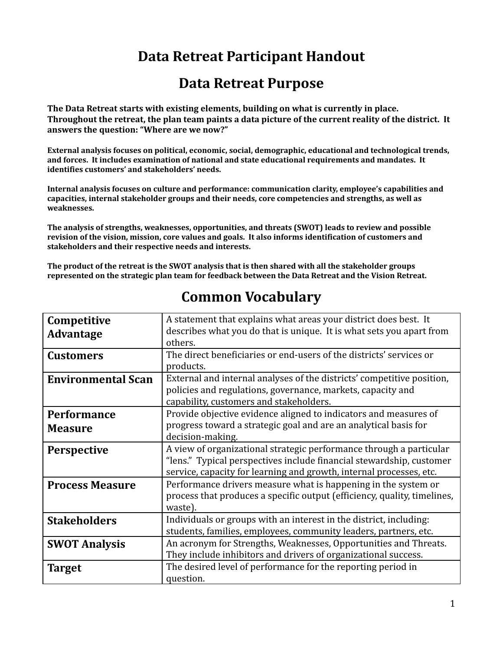## **Data Retreat Participant Handout**

## **Data Retreat Purpose**

**The Data Retreat starts with existing elements, building on what is currently in place.** Throughout the retreat, the plan team paints a data picture of the current reality of the district. It **answers the question: "Where are we now?"**

**External analysis focuses on political, economic, social, demographic, educational and technological trends, and forces. It includes examination of national and state educational requirements and mandates. It identifies customers' and stakeholders' needs.**

**Internal analysis focuses on culture and performance: communication clarity, employee's capabilities and capacities, internal stakeholder groups and their needs, core competencies and strengths, as well as weaknesses.**

**The analysis of strengths, weaknesses, opportunities, and threats (SWOT) leads to review and possible revision of the vision, mission, core values and goals. It also informs identification of customers and stakeholders and their respective needs and interests.**

The product of the retreat is the SWOT analysis that is then shared with all the stakeholder groups **represented on the strategic plan team for feedback between the Data Retreat and the Vision Retreat.**

| Competitive               | A statement that explains what areas your district does best. It         |
|---------------------------|--------------------------------------------------------------------------|
| <b>Advantage</b>          | describes what you do that is unique. It is what sets you apart from     |
|                           | others.                                                                  |
| <b>Customers</b>          | The direct beneficiaries or end-users of the districts' services or      |
|                           | products.                                                                |
| <b>Environmental Scan</b> | External and internal analyses of the districts' competitive position,   |
|                           | policies and regulations, governance, markets, capacity and              |
|                           | capability, customers and stakeholders.                                  |
| <b>Performance</b>        | Provide objective evidence aligned to indicators and measures of         |
| <b>Measure</b>            | progress toward a strategic goal and are an analytical basis for         |
|                           | decision-making.                                                         |
| <b>Perspective</b>        | A view of organizational strategic performance through a particular      |
|                           | "lens." Typical perspectives include financial stewardship, customer     |
|                           | service, capacity for learning and growth, internal processes, etc.      |
| <b>Process Measure</b>    | Performance drivers measure what is happening in the system or           |
|                           | process that produces a specific output (efficiency, quality, timelines, |
|                           | waste).                                                                  |
| <b>Stakeholders</b>       | Individuals or groups with an interest in the district, including:       |
|                           | students, families, employees, community leaders, partners, etc.         |
| <b>SWOT Analysis</b>      | An acronym for Strengths, Weaknesses, Opportunities and Threats.         |
|                           | They include inhibitors and drivers of organizational success.           |
| <b>Target</b>             | The desired level of performance for the reporting period in             |
|                           | question.                                                                |
|                           |                                                                          |

## **Common Vocabulary**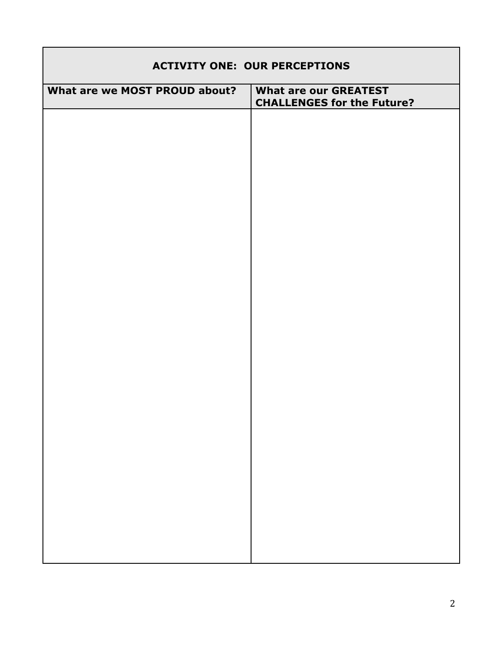| <b>ACTIVITY ONE: OUR PERCEPTIONS</b> |                                                                   |  |
|--------------------------------------|-------------------------------------------------------------------|--|
| What are we MOST PROUD about?        | <b>What are our GREATEST</b><br><b>CHALLENGES for the Future?</b> |  |
|                                      |                                                                   |  |
|                                      |                                                                   |  |
|                                      |                                                                   |  |
|                                      |                                                                   |  |
|                                      |                                                                   |  |
|                                      |                                                                   |  |
|                                      |                                                                   |  |
|                                      |                                                                   |  |
|                                      |                                                                   |  |
|                                      |                                                                   |  |
|                                      |                                                                   |  |
|                                      |                                                                   |  |
|                                      |                                                                   |  |
|                                      |                                                                   |  |
|                                      |                                                                   |  |
|                                      |                                                                   |  |
|                                      |                                                                   |  |
|                                      |                                                                   |  |
|                                      |                                                                   |  |
|                                      |                                                                   |  |

г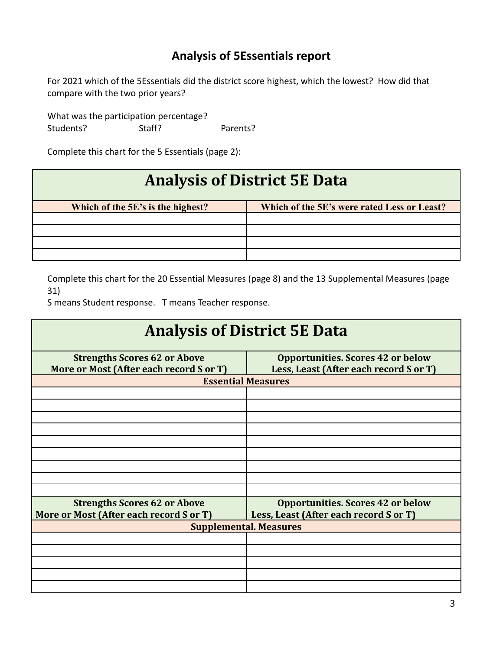### **Analysis of 5Essentials report**

For 2021 which of the 5Essentials did the district score highest, which the lowest? How did that compare with the two prior years?

What was the participation percentage? Students? Staff? Parents?

Complete this chart for the 5 Essentials (page 2):

# **Analysis of District 5E Data**

| Which of the 5E's is the highest? | Which of the 5E's were rated Less or Least? |
|-----------------------------------|---------------------------------------------|
|                                   |                                             |
|                                   |                                             |
|                                   |                                             |
|                                   |                                             |

Complete this chart for the 20 Essential Measures (page 8) and the 13 Supplemental Measures (page 31)

S means Student response. T means Teacher response.

| <b>Analysis of District 5E Data</b>     |                                          |  |
|-----------------------------------------|------------------------------------------|--|
| <b>Strengths Scores 62 or Above</b>     | <b>Opportunities. Scores 42 or below</b> |  |
| More or Most (After each record S or T) | Less, Least (After each record S or T)   |  |
| <b>Essential Measures</b>               |                                          |  |
|                                         |                                          |  |
|                                         |                                          |  |
|                                         |                                          |  |
|                                         |                                          |  |
|                                         |                                          |  |
|                                         |                                          |  |
|                                         |                                          |  |
|                                         |                                          |  |
|                                         |                                          |  |
| <b>Strengths Scores 62 or Above</b>     | <b>Opportunities. Scores 42 or below</b> |  |
| More or Most (After each record S or T) | Less, Least (After each record S or T)   |  |
| <b>Supplemental. Measures</b>           |                                          |  |
|                                         |                                          |  |
|                                         |                                          |  |
|                                         |                                          |  |
|                                         |                                          |  |
|                                         |                                          |  |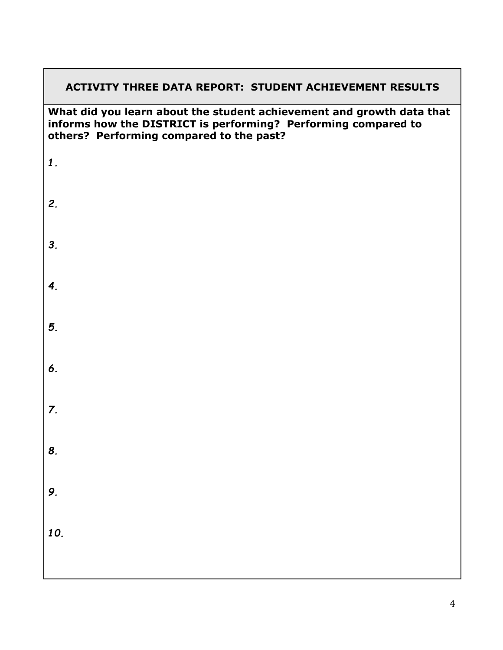#### **ACTIVITY THREE DATA REPORT: STUDENT ACHIEVEMENT RESULTS**

#### **What did you learn about the student achievement and growth data that informs how the DISTRICT is performing? Performing compared to others? Performing compared to the past?**

| $\boxed{1}$      |  |
|------------------|--|
| 2.               |  |
| 3.               |  |
| $\overline{4}$ . |  |
| 5.               |  |
| 6.               |  |
| $\overline{z}$ . |  |
| 8.               |  |
| 9.               |  |
| 10.              |  |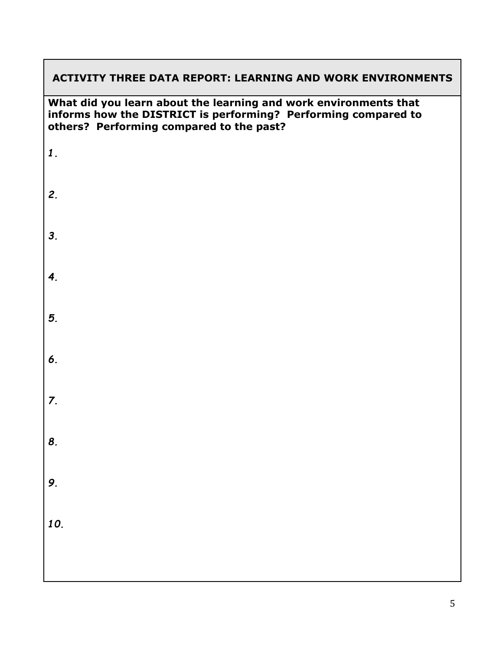#### **ACTIVITY THREE DATA REPORT: LEARNING AND WORK ENVIRONMENTS**

**What did you learn about the learning and work environments that informs how the DISTRICT is performing? Performing compared to others? Performing compared to the past?**

*1. 2. 3. 4. 5. 6. 7. 8. 9. 10.*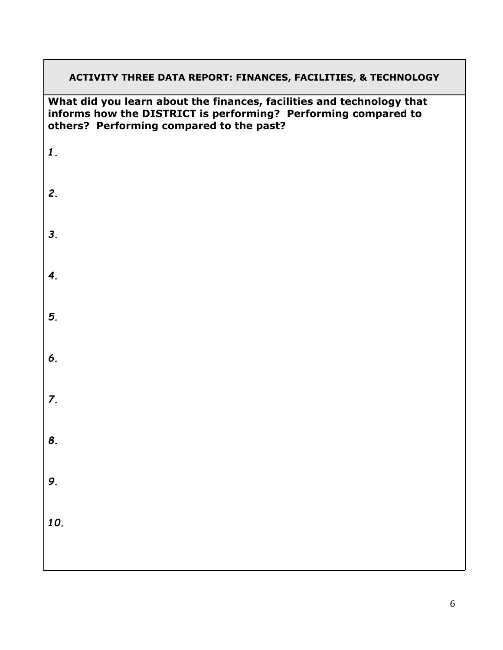# **ACTIVITY THREE DATA REPORT: FINANCES, FACILITIES, & TECHNOLOGY What did you learn about the finances, facilities and technology that informs how the DISTRICT is performing? Performing compared to others? Performing compared to the past?** *1. 2. 3. 4. 5. 6. 7. 8. 9. 10.*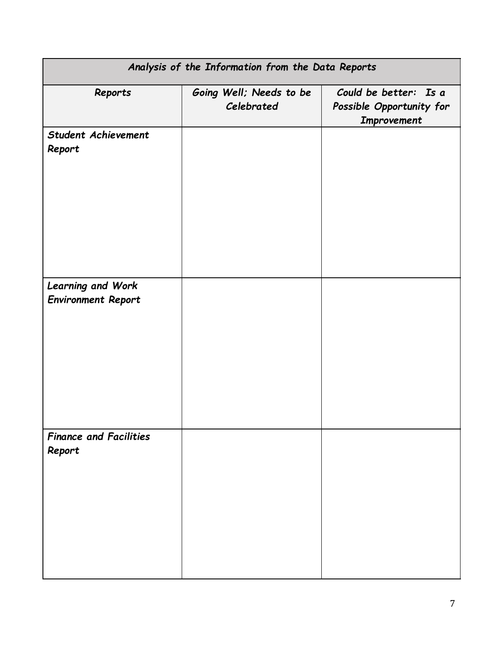| Analysis of the Information from the Data Reports |                                       |                                                                  |
|---------------------------------------------------|---------------------------------------|------------------------------------------------------------------|
| Reports                                           | Going Well; Needs to be<br>Celebrated | Could be better: Is a<br>Possible Opportunity for<br>Improvement |
| <b>Student Achievement</b><br>Report              |                                       |                                                                  |
| Learning and Work<br><b>Environment Report</b>    |                                       |                                                                  |
| <b>Finance and Facilities</b><br>Report           |                                       |                                                                  |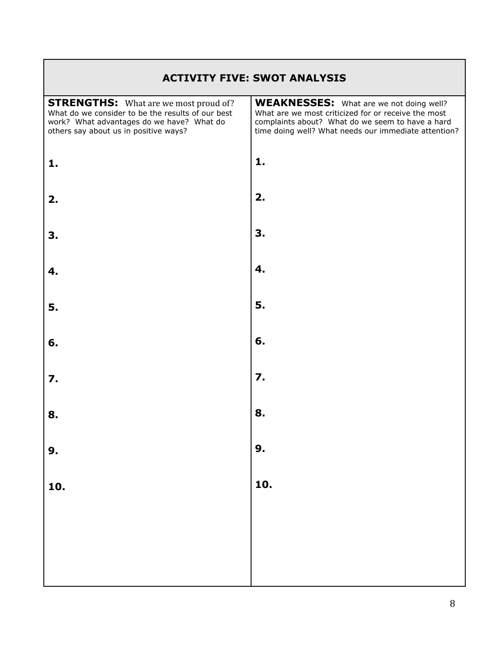#### **ACTIVITY FIVE: SWOT ANALYSIS**

| <b>STRENGTHS:</b> What are we most proud of?<br>What do we consider to be the results of our best<br>work? What advantages do we have? What do<br>others say about us in positive ways? | <b>WEAKNESSES:</b> What are we not doing well?<br>What are we most criticized for or receive the most<br>complaints about? What do we seem to have a hard<br>time doing well? What needs our immediate attention? |
|-----------------------------------------------------------------------------------------------------------------------------------------------------------------------------------------|-------------------------------------------------------------------------------------------------------------------------------------------------------------------------------------------------------------------|
| 1.                                                                                                                                                                                      | 1.                                                                                                                                                                                                                |
| 2.                                                                                                                                                                                      | 2.                                                                                                                                                                                                                |
| 3.                                                                                                                                                                                      | 3.                                                                                                                                                                                                                |
| 4.                                                                                                                                                                                      | 4.                                                                                                                                                                                                                |
| 5.                                                                                                                                                                                      | 5.                                                                                                                                                                                                                |
| 6.                                                                                                                                                                                      | 6.                                                                                                                                                                                                                |
| 7.                                                                                                                                                                                      | 7.                                                                                                                                                                                                                |
| 8.                                                                                                                                                                                      | 8.                                                                                                                                                                                                                |
| 9.                                                                                                                                                                                      | 9.                                                                                                                                                                                                                |
| 10.                                                                                                                                                                                     | 10.                                                                                                                                                                                                               |
|                                                                                                                                                                                         |                                                                                                                                                                                                                   |
|                                                                                                                                                                                         |                                                                                                                                                                                                                   |